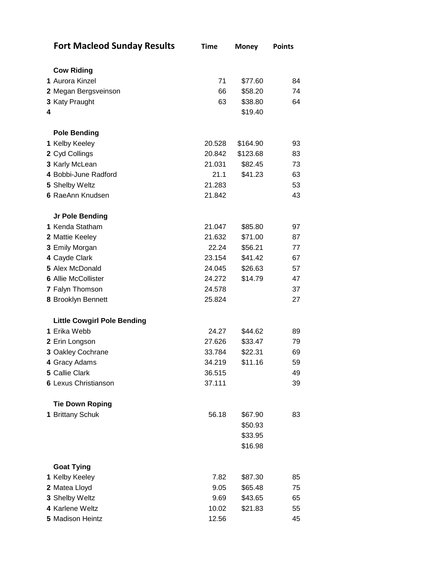| <b>Fort Macleod Sunday Results</b> | <b>Time</b> | <b>Money</b> | <b>Points</b> |
|------------------------------------|-------------|--------------|---------------|
|                                    |             |              |               |
| <b>Cow Riding</b>                  |             |              |               |
| 1 Aurora Kinzel                    | 71          | \$77.60      | 84            |
| 2 Megan Bergsveinson               | 66          | \$58.20      | 74            |
| 3 Katy Praught                     | 63          | \$38.80      | 64            |
| 4                                  |             | \$19.40      |               |
| <b>Pole Bending</b>                |             |              |               |
| 1 Kelby Keeley                     | 20.528      | \$164.90     | 93            |
| 2 Cyd Collings                     | 20.842      | \$123.68     | 83            |
| 3 Karly McLean                     | 21.031      | \$82.45      | 73            |
| 4 Bobbi-June Radford               | 21.1        | \$41.23      | 63            |
| 5 Shelby Weltz                     | 21.283      |              | 53            |
| 6 RaeAnn Knudsen                   | 21.842      |              | 43            |
| Jr Pole Bending                    |             |              |               |
| 1 Kenda Statham                    | 21.047      | \$85.80      | 97            |
| 2 Mattie Keeley                    | 21.632      | \$71.00      | 87            |
| 3 Emily Morgan                     | 22.24       | \$56.21      | 77            |
| 4 Cayde Clark                      | 23.154      | \$41.42      | 67            |
| 5 Alex McDonald                    | 24.045      | \$26.63      | 57            |
| <b>6 Allie McCollister</b>         | 24.272      | \$14.79      | 47            |
| 7 Falyn Thomson                    | 24.578      |              | 37            |
| 8 Brooklyn Bennett                 | 25.824      |              | 27            |
| <b>Little Cowgirl Pole Bending</b> |             |              |               |
| 1 Erika Webb                       | 24.27       | \$44.62      | 89            |
| 2 Erin Longson                     | 27.626      | \$33.47      | 79            |
| 3 Oakley Cochrane                  | 33.784      | \$22.31      | 69            |
| 4 Gracy Adams                      | 34.219      | \$11.16      | 59            |
| 5 Callie Clark                     | 36.515      |              | 49            |
| <b>6 Lexus Christianson</b>        | 37.111      |              | 39            |
| <b>Tie Down Roping</b>             |             |              |               |
| 1 Brittany Schuk                   | 56.18       | \$67.90      | 83            |
|                                    |             | \$50.93      |               |
|                                    |             | \$33.95      |               |
|                                    |             | \$16.98      |               |
| <b>Goat Tying</b>                  |             |              |               |
| 1 Kelby Keeley                     | 7.82        | \$87.30      | 85            |
| 2 Matea Lloyd                      | 9.05        | \$65.48      | 75            |
| 3 Shelby Weltz                     | 9.69        | \$43.65      | 65            |
| 4 Karlene Weltz                    | 10.02       | \$21.83      | 55            |
| 5 Madison Heintz                   | 12.56       |              | 45            |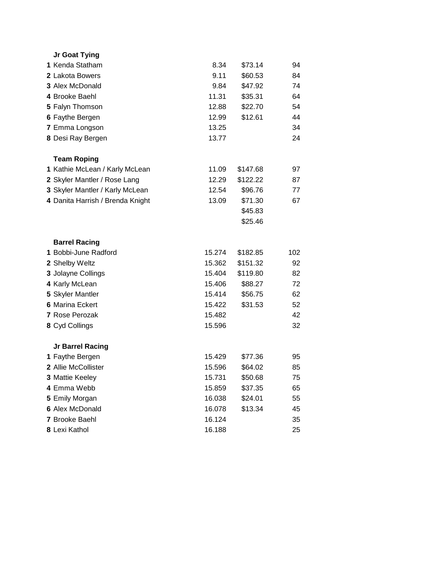| Jr Goat Tying                    |                  |          |          |  |
|----------------------------------|------------------|----------|----------|--|
| 1 Kenda Statham                  | 8.34             | \$73.14  | 94       |  |
| 2 Lakota Bowers                  | 9.11             | \$60.53  | 84       |  |
| 3 Alex McDonald                  | 9.84             | \$47.92  | 74       |  |
| 4 Brooke Baehl                   | 11.31            | \$35.31  | 64       |  |
| 5 Falyn Thomson                  | 12.88            | \$22.70  | 54       |  |
| 6 Faythe Bergen                  | 12.99            | \$12.61  | 44       |  |
| 7 Emma Longson                   | 13.25            |          | 34       |  |
| 8 Desi Ray Bergen                | 13.77            |          | 24       |  |
| <b>Team Roping</b>               |                  |          |          |  |
| 1 Kathie McLean / Karly McLean   | 11.09            | \$147.68 | 97       |  |
| 2 Skyler Mantler / Rose Lang     | 12.29            | \$122.22 | 87       |  |
| 3 Skyler Mantler / Karly McLean  | 12.54            | \$96.76  | 77       |  |
| 4 Danita Harrish / Brenda Knight | 13.09            | \$71.30  | 67       |  |
|                                  |                  | \$45.83  |          |  |
|                                  |                  | \$25.46  |          |  |
|                                  |                  |          |          |  |
| <b>Barrel Racing</b>             |                  |          |          |  |
| 1 Bobbi-June Radford             | 15.274           | \$182.85 | 102      |  |
| 2 Shelby Weltz                   | 15.362           | \$151.32 | 92       |  |
| 3 Jolayne Collings               | 15.404           | \$119.80 | 82       |  |
| 4 Karly McLean                   | 15.406           | \$88.27  | 72       |  |
| 5 Skyler Mantler                 | 15.414           | \$56.75  | 62       |  |
| <b>6 Marina Eckert</b>           | 15.422           | \$31.53  | 52       |  |
| 7 Rose Perozak                   | 15.482           |          | 42       |  |
| 8 Cyd Collings                   | 15.596           |          | 32       |  |
| Jr Barrel Racing                 |                  |          |          |  |
| 1 Faythe Bergen                  | 15.429           | \$77.36  | 95       |  |
| 2 Allie McCollister              | 15.596           | \$64.02  | 85       |  |
| 3 Mattie Keeley                  | 15.731           | \$50.68  | 75       |  |
| 4 Emma Webb                      | 15.859           | \$37.35  | 65       |  |
| 5 Emily Morgan                   | 16.038           | \$24.01  | 55       |  |
| 6 Alex McDonald                  | 16.078           | \$13.34  | 45       |  |
| 7 Brooke Baehl<br>8 Lexi Kathol  | 16.124<br>16.188 |          | 35<br>25 |  |